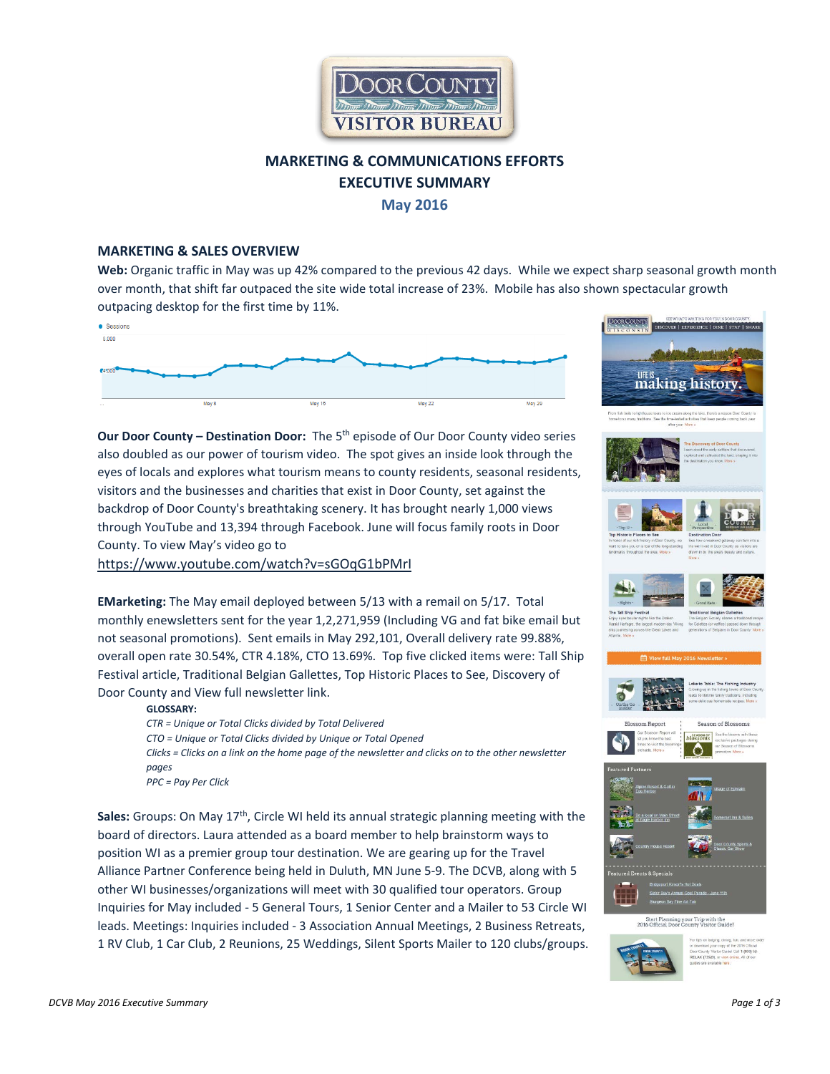

# **MARKETING & COMMUNICATIONS EFFORTS EXECUTIVE SUMMARY May 2016**

#### **MARKETING & SALES OVERVIEW**

**Web:** Organic traffic in May was up 42% compared to the previous 42 days. While we expect sharp seasonal growth month over month, that shift far outpaced the site wide total increase of 23%. Mobile has also shown spectacular growth outpacing desktop for the first time by 11%.



**Our Door County – Destination Door:** The 5th episode of Our Door County video series also doubled as our power of tourism video. The spot gives an inside look through the eyes of locals and explores what tourism means to county residents, seasonal residents, visitors and the businesses and charities that exist in Door County, set against the backdrop of Door County's breathtaking scenery. It has brought nearly 1,000 views through YouTube and 13,394 through Facebook. June will focus family roots in Door County. To view May's video go to

<https://www.youtube.com/watch?v=sGOqG1bPMrI>

**EMarketing:** The May email deployed between 5/13 with a remail on 5/17. Total monthly enewsletters sent for the year 1,2,271,959 (Including VG and fat bike email but not seasonal promotions). Sent emails in May 292,101, Overall delivery rate 99.88%, overall open rate 30.54%, CTR 4.18%, CTO 13.69%. Top five clicked items were: Tall Ship Festival article, Traditional Belgian Gallettes, Top Historic Places to See, Discovery of Door County and View full newsletter link.

#### **GLOSSARY:**

*CTR = Unique or Total Clicks divided by Total Delivered CTO = Unique or Total Clicks divided by Unique or Total Opened Clicks = Clicks on a link on the home page of the newsletter and clicks on to the other newsletter pages PPC = Pay Per Click* 

**Sales:** Groups: On May 17th, Circle WI held its annual strategic planning meeting with the board of directors. Laura attended as a board member to help brainstorm ways to position WI as a premier group tour destination. We are gearing up for the Travel Alliance Partner Conference being held in Duluth, MN June 5-9. The DCVB, along with 5 other WI businesses/organizations will meet with 30 qualified tour operators. Group Inquiries for May included - 5 General Tours, 1 Senior Center and a Mailer to 53 Circle WI leads. Meetings: Inquiries included - 3 Association Annual Meetings, 2 Business Retreats, 1 RV Club, 1 Car Club, 2 Reunions, 25 Weddings, Silent Sports Mailer to 120 clubs/groups.





















Start Planning your Trip with the<br>2016 Official Door County Visitor Guide

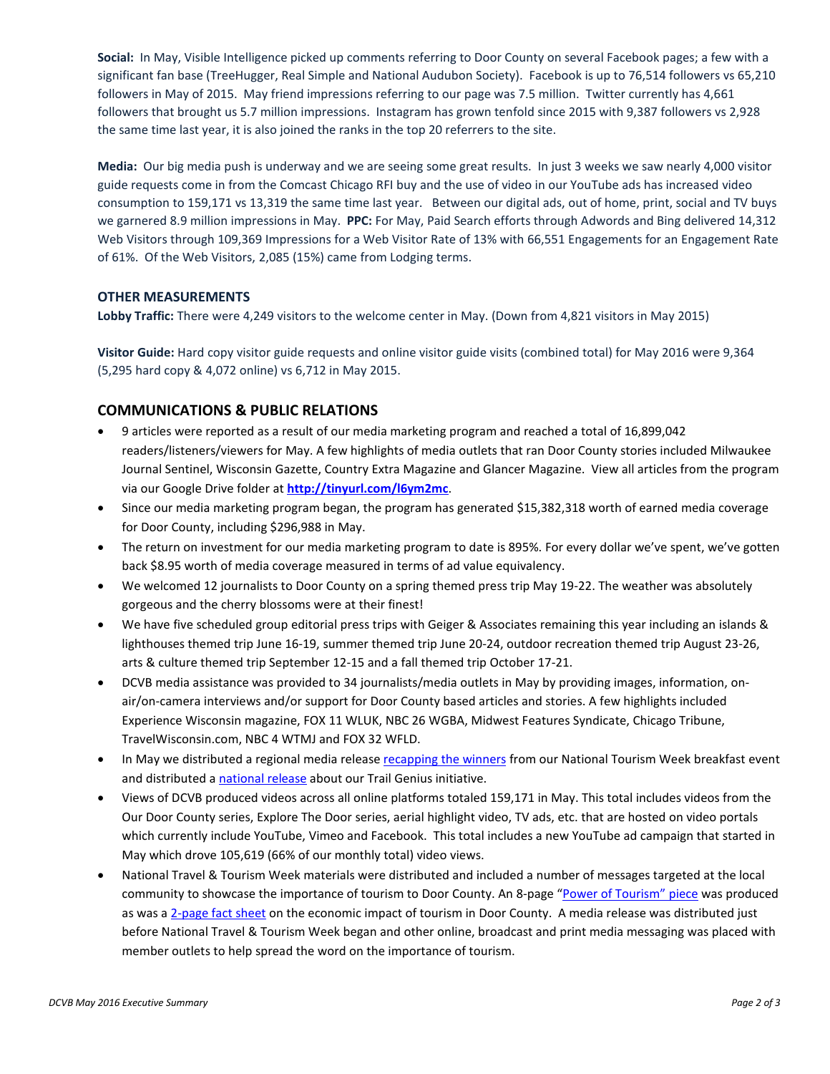**Social:** In May, Visible Intelligence picked up comments referring to Door County on several Facebook pages; a few with a significant fan base (TreeHugger, Real Simple and National Audubon Society). Facebook is up to 76,514 followers vs 65,210 followers in May of 2015. May friend impressions referring to our page was 7.5 million. Twitter currently has 4,661 followers that brought us 5.7 million impressions. Instagram has grown tenfold since 2015 with 9,387 followers vs 2,928 the same time last year, it is also joined the ranks in the top 20 referrers to the site.

**Media:** Our big media push is underway and we are seeing some great results. In just 3 weeks we saw nearly 4,000 visitor guide requests come in from the Comcast Chicago RFI buy and the use of video in our YouTube ads has increased video consumption to 159,171 vs 13,319 the same time last year. Between our digital ads, out of home, print, social and TV buys we garnered 8.9 million impressions in May. **PPC:** For May, Paid Search efforts through Adwords and Bing delivered 14,312 Web Visitors through 109,369 Impressions for a Web Visitor Rate of 13% with 66,551 Engagements for an Engagement Rate of 61%. Of the Web Visitors, 2,085 (15%) came from Lodging terms.

#### **OTHER MEASUREMENTS**

**Lobby Traffic:** There were 4,249 visitors to the welcome center in May. (Down from 4,821 visitors in May 2015)

**Visitor Guide:** Hard copy visitor guide requests and online visitor guide visits (combined total) for May 2016 were 9,364 (5,295 hard copy & 4,072 online) vs 6,712 in May 2015.

## **COMMUNICATIONS & PUBLIC RELATIONS**

- 9 articles were reported as a result of our media marketing program and reached a total of 16,899,042 readers/listeners/viewers for May. A few highlights of media outlets that ran Door County stories included Milwaukee Journal Sentinel, Wisconsin Gazette, Country Extra Magazine and Glancer Magazine. View all articles from the program via our Google Drive folder at **<http://tinyurl.com/l6ym2mc>**.
- Since our media marketing program began, the program has generated \$15,382,318 worth of earned media coverage for Door County, including \$296,988 in May.
- The return on investment for our media marketing program to date is 895%. For every dollar we've spent, we've gotten back \$8.95 worth of media coverage measured in terms of ad value equivalency.
- We welcomed 12 journalists to Door County on a spring themed press trip May 19-22. The weather was absolutely gorgeous and the cherry blossoms were at their finest!
- We have five scheduled group editorial press trips with Geiger & Associates remaining this year including an islands & lighthouses themed trip June 16-19, summer themed trip June 20-24, outdoor recreation themed trip August 23-26, arts & culture themed trip September 12-15 and a fall themed trip October 17-21.
- DCVB media assistance was provided to 34 journalists/media outlets in May by providing images, information, onair/on-camera interviews and/or support for Door County based articles and stories. A few highlights included Experience Wisconsin magazine, FOX 11 WLUK, NBC 26 WGBA, Midwest Features Syndicate, Chicago Tribune, TravelWisconsin.com, NBC 4 WTMJ and FOX 32 WFLD.
- In May we distributed a regional media release [recapping the winners](http://www.doorcounty.com/discover/media-coverage/2016-tourism-breakfast-awards/) from our National Tourism Week breakfast event and distributed [a national release](http://www.prweb.com/releases/doorcounty/trailgenius/prweb13419381.htm) about our Trail Genius initiative.
- Views of DCVB produced videos across all online platforms totaled 159,171 in May. This total includes videos from the Our Door County series, Explore The Door series, aerial highlight video, TV ads, etc. that are hosted on video portals which currently include YouTube, Vimeo and Facebook. This total includes a new YouTube ad campaign that started in May which drove 105,619 (66% of our monthly total) video views.
- National Travel & Tourism Week materials were distributed and included a number of messages targeted at the local community to showcase the importance of tourism to Door County. An 8-page ["Power of Tourism" piece](http://www.doorcounty.com/media/8217/2016-door-county-power-of-tourism-piece-web.pdf) was produced as was a [2-page fact sheet](http://media.doorcounty.com/mediareleases/Door-County-Toursim-Economic-Impact-Fact-Sheet-2016.pdf) on the economic impact of tourism in Door County. A media release was distributed just before National Travel & Tourism Week began and other online, broadcast and print media messaging was placed with member outlets to help spread the word on the importance of tourism.